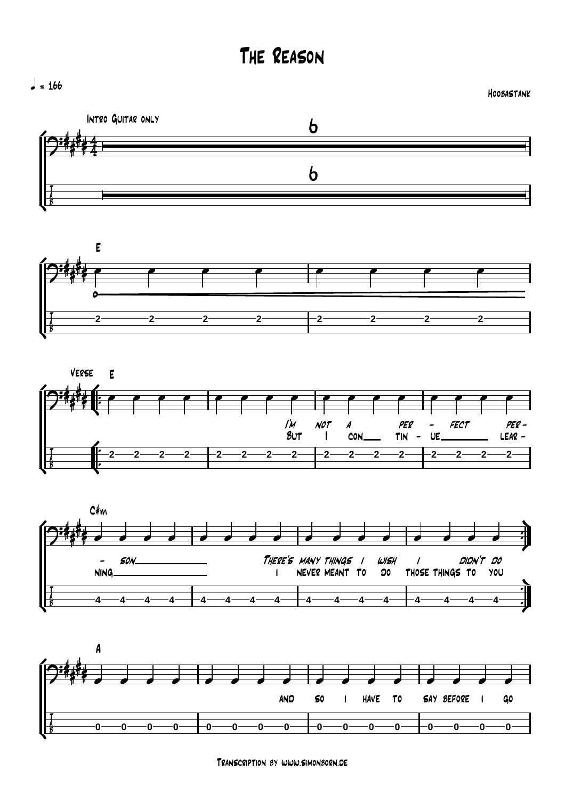The Reason











Transcription by www.simonborn.de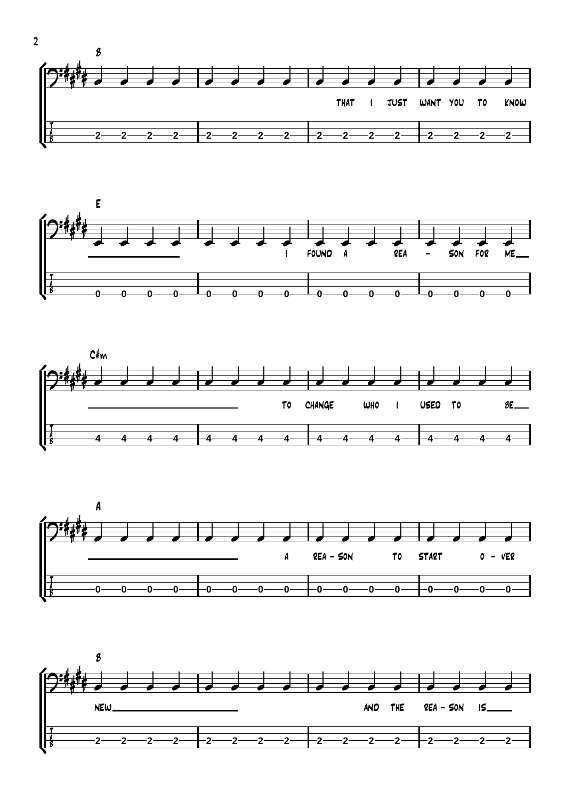









2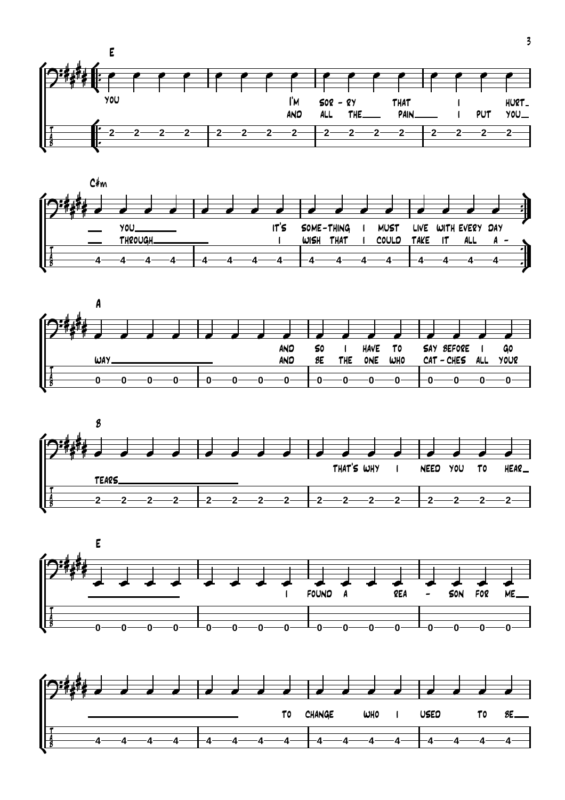